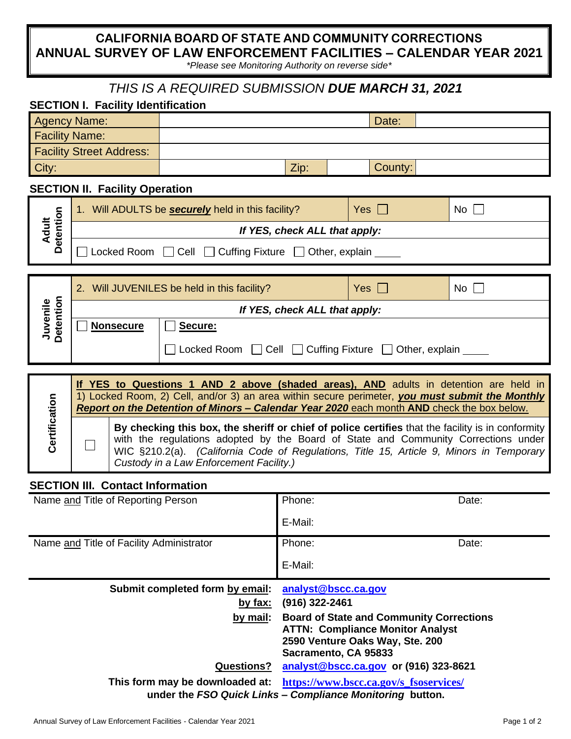## **CALIFORNIA BOARD OF STATE AND COMMUNITY CORRECTIONS ANNUAL SURVEY OF LAW ENFORCEMENT FACILITIES – CALENDAR YEAR 2021**

*\*Please see Monitoring Authority on reverse side\**

## *THIS IS A REQUIRED SUBMISSION DUE MARCH 31, 2021*

| <b>SECTION I. Facility Identification</b> |                                                                                                                                                                                               |                                                            |                                                                                            |            |       |    |       |
|-------------------------------------------|-----------------------------------------------------------------------------------------------------------------------------------------------------------------------------------------------|------------------------------------------------------------|--------------------------------------------------------------------------------------------|------------|-------|----|-------|
| <b>Agency Name:</b>                       |                                                                                                                                                                                               |                                                            |                                                                                            |            | Date: |    |       |
| <b>Facility Name:</b>                     |                                                                                                                                                                                               |                                                            |                                                                                            |            |       |    |       |
| <b>Facility Street Address:</b>           |                                                                                                                                                                                               |                                                            |                                                                                            |            |       |    |       |
| City:                                     |                                                                                                                                                                                               | Zip:                                                       |                                                                                            | County:    |       |    |       |
| <b>SECTION II. Facility Operation</b>     |                                                                                                                                                                                               |                                                            |                                                                                            |            |       |    |       |
| Detention<br><b>Adult</b>                 | 1. Will ADULTS be <b>securely</b> held in this facility?                                                                                                                                      | Yes $\Box$                                                 |                                                                                            |            | No    |    |       |
|                                           | If YES, check ALL that apply:                                                                                                                                                                 |                                                            |                                                                                            |            |       |    |       |
|                                           | Locked Room   Cell   Cuffing Fixture   Other, explain                                                                                                                                         |                                                            |                                                                                            |            |       |    |       |
|                                           |                                                                                                                                                                                               |                                                            |                                                                                            |            |       |    |       |
| Detention<br>Juvenile                     | 2. Will JUVENILES be held in this facility?                                                                                                                                                   |                                                            |                                                                                            | Yes $\Box$ |       | No |       |
|                                           | If YES, check ALL that apply:                                                                                                                                                                 |                                                            |                                                                                            |            |       |    |       |
|                                           | <b>Nonsecure</b>                                                                                                                                                                              | Secure:                                                    |                                                                                            |            |       |    |       |
|                                           |                                                                                                                                                                                               | Locked Room [ Cell [ Cuffing Fixture [ Other, explain ____ |                                                                                            |            |       |    |       |
|                                           |                                                                                                                                                                                               |                                                            |                                                                                            |            |       |    |       |
|                                           | If YES to Questions 1 AND 2 above (shaded areas), AND adults in detention are held in                                                                                                         |                                                            |                                                                                            |            |       |    |       |
| Certification                             | 1) Locked Room, 2) Cell, and/or 3) an area within secure perimeter, you must submit the Monthly<br>Report on the Detention of Minors - Calendar Year 2020 each month AND check the box below. |                                                            |                                                                                            |            |       |    |       |
|                                           |                                                                                                                                                                                               |                                                            |                                                                                            |            |       |    |       |
|                                           | By checking this box, the sheriff or chief of police certifies that the facility is in conformity<br>with the regulations adopted by the Board of State and Community Corrections under       |                                                            |                                                                                            |            |       |    |       |
|                                           | WIC §210.2(a). (California Code of Regulations, Title 15, Article 9, Minors in Temporary                                                                                                      |                                                            |                                                                                            |            |       |    |       |
| Custody in a Law Enforcement Facility.)   |                                                                                                                                                                                               |                                                            |                                                                                            |            |       |    |       |
| <b>SECTION III. Contact Information</b>   |                                                                                                                                                                                               |                                                            |                                                                                            |            |       |    |       |
| Name and Title of Reporting Person        |                                                                                                                                                                                               |                                                            | Phone:<br>Date:                                                                            |            |       |    |       |
|                                           |                                                                                                                                                                                               |                                                            | E-Mail:                                                                                    |            |       |    |       |
| Name and Title of Facility Administrator  |                                                                                                                                                                                               |                                                            | Phone:                                                                                     |            |       |    | Date: |
|                                           |                                                                                                                                                                                               |                                                            | E-Mail:                                                                                    |            |       |    |       |
| Submit completed form by email:           |                                                                                                                                                                                               |                                                            | analyst@bscc.ca.gov                                                                        |            |       |    |       |
| by fax:                                   |                                                                                                                                                                                               |                                                            | (916) 322-2461                                                                             |            |       |    |       |
| by mail:                                  |                                                                                                                                                                                               |                                                            | <b>Board of State and Community Corrections</b><br><b>ATTN: Compliance Monitor Analyst</b> |            |       |    |       |
|                                           |                                                                                                                                                                                               |                                                            | 2590 Venture Oaks Way, Ste. 200                                                            |            |       |    |       |
| <b>Questions?</b>                         |                                                                                                                                                                                               |                                                            | Sacramento, CA 95833<br>analyst@bscc.ca.gov or (916) 323-8621                              |            |       |    |       |
| This form may be downloaded at:           |                                                                                                                                                                                               |                                                            | https://www.bscc.ca.gov/s_fsoservices/                                                     |            |       |    |       |
|                                           |                                                                                                                                                                                               |                                                            | under the FSO Quick Links - Compliance Monitoring button.                                  |            |       |    |       |